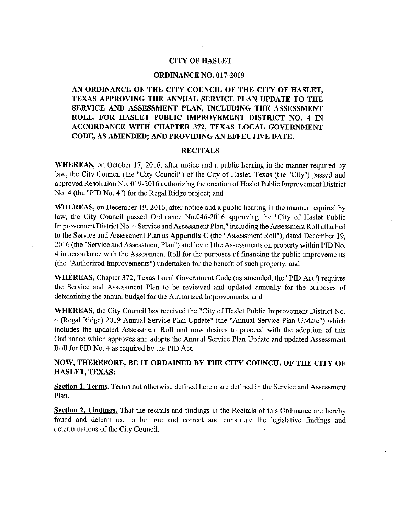#### **CITY OF HASLET**

#### **ORDINANCE NO. 017-2019**

AN ORDINANCE OF THE CITY COUNCIL OF THE CITY OF HASLET, TEXAS APPROVING THE ANNUAL SERVICE PLAN UPDATE TO THE SERVICE AND ASSESSMENT PLAN, INCLUDING THE ASSESSMENT ROLL, FOR HASLET PUBLIC IMPROVEMENT DISTRICT NO. 4 IN ACCORDANCE WITH CHAPTER 372, TEXAS LOCAL GOVERNMENT CODE, AS AMENDED; AND PROVIDING AN EFFECTIVE DATE.

#### **RECITALS**

**WHEREAS**, on October 17, 2016, after notice and a public hearing in the manner required by law, the City Council (the "City Council") of the City of Haslet, Texas (the "City") passed and approved Resolution No. 019-2016 authorizing the creation of Haslet Public Improvement District No. 4 (the "PID No. 4") for the Regal Ridge project; and

WHEREAS, on December 19, 2016, after notice and a public hearing in the manner required by law, the City Council passed Ordinance No.046-2016 approving the "City of Haslet Public Improvement District No. 4 Service and Assessment Plan," including the Assessment Roll attached to the Service and Assessment Plan as Appendix C (the "Assessment Roll"), dated December 19, 2016 (the "Service and Assessment Plan") and levied the Assessments on property within PID No. 4 in accordance with the Assessment Roll for the purposes of financing the public improvements (the "Authorized Improvements") undertaken for the benefit of such property; and

WHEREAS, Chapter 372, Texas Local Government Code (as amended, the "PID Act") requires the Service and Assessment Plan to be reviewed and updated annually for the purposes of determining the annual budget for the Authorized Improvements; and

WHEREAS, the City Council has received the "City of Haslet Public Improvement District No. 4 (Regal Ridge) 2019 Annual Service Plan Update" (the "Annual Service Plan Update") which includes the updated Assessment Roll and now desires to proceed with the adoption of this Ordinance which approves and adopts the Annual Service Plan Update and updated Assessment Roll for PID No. 4 as required by the PID Act.

NOW, THEREFORE, BE IT ORDAINED BY THE CITY COUNCIL OF THE CITY OF HASLET, TEXAS:

Section 1. Terms. Terms not otherwise defined herein are defined in the Service and Assessment Plan.

Section 2. Findings. That the recitals and findings in the Recitals of this Ordinance are hereby found and determined to be true and correct and constitute the legislative findings and determinations of the City Council.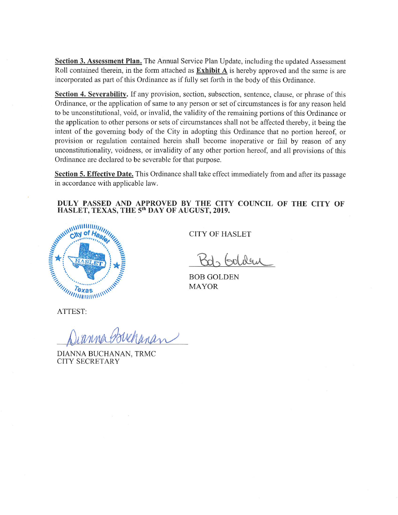Section 3. Assessment Plan. The Annual Service Plan Update, including the updated Assessment Roll contained therein, in the form attached as **Exhibit A** is hereby approved and the same is are incorporated as part of this Ordinance as if fully set forth in the body of this Ordinance.

Section 4. Severability. If any provision, section, subsection, sentence, clause, or phrase of this Ordinance, or the application of same to any person or set of circumstances is for any reason held to be unconstitutional, void, or invalid, the validity of the remaining portions of this Ordinance or the application to other persons or sets of circumstances shall not be affected thereby, it being the intent of the governing body of the City in adopting this Ordinance that no portion hereof, or provision or regulation contained herein shall become inoperative or fail by reason of any unconstitutionality, voidness, or invalidity of any other portion hereof, and all provisions of this Ordinance are declared to be severable for that purpose.

Section 5. Effective Date. This Ordinance shall take effect immediately from and after its passage in accordance with applicable law.

#### DULY PASSED AND APPROVED BY THE CITY COUNCIL OF THE CITY OF HASLET, TEXAS, THE 5<sup>th</sup> DAY OF AUGUST, 2019.



**CITY OF HASLET** 

Gol dem

**BOB GOLDEN MAYOR** 

ATTEST:

Istrehanan

DIANNA BUCHANAN, TRMC **CITY SECRETARY**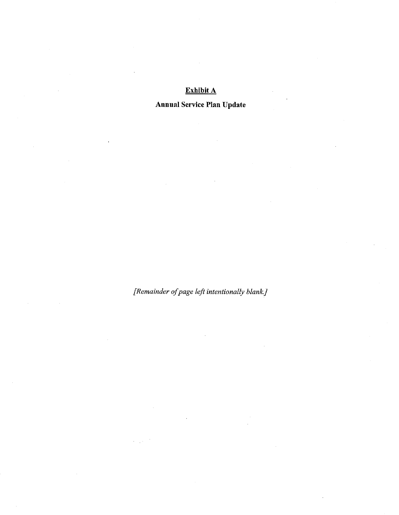# Exhibit A

**Annual Service Plan Update** 

 $\hat{\boldsymbol{\theta}}$ 

[Remainder of page left intentionally blank.]

 $\alpha = \sqrt{2}$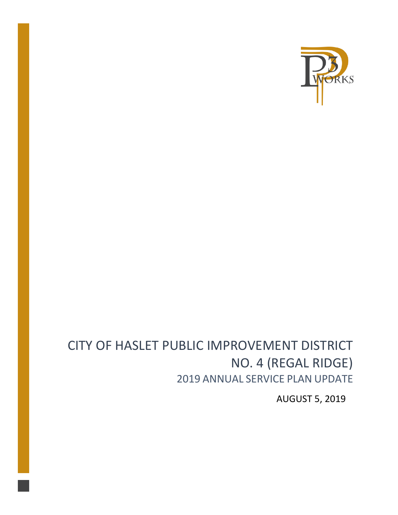

# CITY OF HASLET PUBLIC IMPROVEMENT DISTRICT NO. 4 (REGAL RIDGE) 2019 ANNUAL SERVICE PLAN UPDATE

AUGUST 5, 2019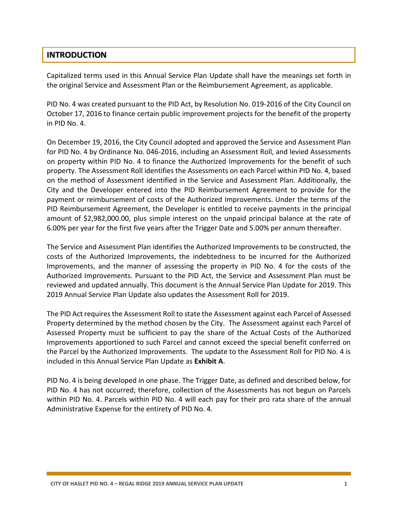## **INTRODUCTION**

Capitalized terms used in this Annual Service Plan Update shall have the meanings set forth in the original Service and Assessment Plan or the Reimbursement Agreement, as applicable.

PID No. 4 was created pursuant to the PID Act, by Resolution No. 019-2016 of the City Council on October 17, 2016 to finance certain public improvement projects for the benefit of the property in PID No. 4.

On December 19, 2016, the City Council adopted and approved the Service and Assessment Plan for PID No. 4 by Ordinance No. 046-2016, including an Assessment Roll, and levied Assessments on property within PID No. 4 to finance the Authorized Improvements for the benefit of such property. The Assessment Roll identifies the Assessments on each Parcel within PID No. 4, based on the method of Assessment identified in the Service and Assessment Plan. Additionally, the City and the Developer entered into the PID Reimbursement Agreement to provide for the payment or reimbursement of costs of the Authorized Improvements. Under the terms of the PID Reimbursement Agreement, the Developer is entitled to receive payments in the principal amount of \$2,982,000.00, plus simple interest on the unpaid principal balance at the rate of 6.00% per year for the first five years after the Trigger Date and 5.00% per annum thereafter.

The Service and Assessment Plan identifies the Authorized Improvements to be constructed, the costs of the Authorized Improvements, the indebtedness to be incurred for the Authorized Improvements, and the manner of assessing the property in PID No. 4 for the costs of the Authorized Improvements. Pursuant to the PID Act, the Service and Assessment Plan must be reviewed and updated annually. This document is the Annual Service Plan Update for 2019. This 2019 Annual Service Plan Update also updates the Assessment Roll for 2019.

The PID Act requires the Assessment Roll to state the Assessment against each Parcel of Assessed Property determined by the method chosen by the City. The Assessment against each Parcel of Assessed Property must be sufficient to pay the share of the Actual Costs of the Authorized Improvements apportioned to such Parcel and cannot exceed the special benefit conferred on the Parcel by the Authorized Improvements. The update to the Assessment Roll for PID No. 4 is included in this Annual Service Plan Update as **Exhibit A**.

PID No. 4 is being developed in one phase. The Trigger Date, as defined and described below, for PID No. 4 has not occurred; therefore, collection of the Assessments has not begun on Parcels within PID No. 4. Parcels within PID No. 4 will each pay for their pro rata share of the annual Administrative Expense for the entirety of PID No. 4.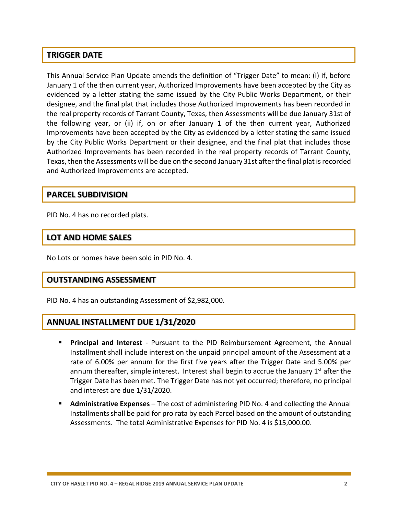## **TRIGGER DATE**

This Annual Service Plan Update amends the definition of "Trigger Date" to mean: (i) if, before January 1 of the then current year, Authorized Improvements have been accepted by the City as evidenced by a letter stating the same issued by the City Public Works Department, or their designee, and the final plat that includes those Authorized Improvements has been recorded in the real property records of Tarrant County, Texas, then Assessments will be due January 31st of the following year, or (ii) if, on or after January 1 of the then current year, Authorized Improvements have been accepted by the City as evidenced by a letter stating the same issued by the City Public Works Department or their designee, and the final plat that includes those Authorized Improvements has been recorded in the real property records of Tarrant County, Texas, then the Assessments will be due on the second January 31st after the final plat is recorded and Authorized Improvements are accepted.

#### **PARCEL SUBDIVISION**

PID No. 4 has no recorded plats.

## **LOT AND HOME SALES**

No Lots or homes have been sold in PID No. 4.

### **OUTSTANDING ASSESSMENT**

PID No. 4 has an outstanding Assessment of \$2,982,000.

### **ANNUAL INSTALLMENT DUE 1/31/2020**

- **Principal and Interest** Pursuant to the PID Reimbursement Agreement, the Annual Installment shall include interest on the unpaid principal amount of the Assessment at a rate of 6.00% per annum for the first five years after the Trigger Date and 5.00% per annum thereafter, simple interest. Interest shall begin to accrue the January  $1<sup>st</sup>$  after the Trigger Date has been met. The Trigger Date has not yet occurred; therefore, no principal and interest are due 1/31/2020.
- **Administrative Expenses** The cost of administering PID No. 4 and collecting the Annual Installments shall be paid for pro rata by each Parcel based on the amount of outstanding Assessments. The total Administrative Expenses for PID No. 4 is \$15,000.00.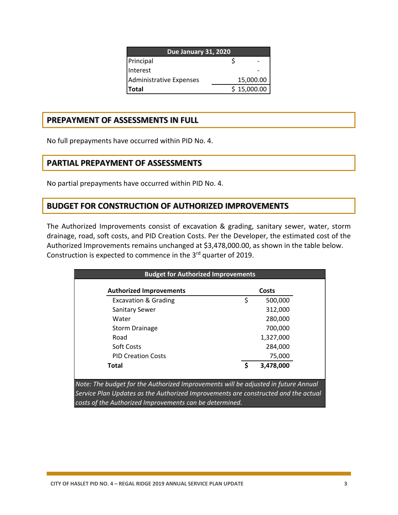| <b>Due January 31, 2020</b> |  |             |  |  |  |  |  |  |
|-----------------------------|--|-------------|--|--|--|--|--|--|
| Principal                   |  |             |  |  |  |  |  |  |
| Interest                    |  |             |  |  |  |  |  |  |
| Administrative Expenses     |  | 15,000.00   |  |  |  |  |  |  |
| <b>Total</b>                |  | \$15,000.00 |  |  |  |  |  |  |

# **PREPAYMENT OF ASSESSMENTS IN FULL**

No full prepayments have occurred within PID No. 4.

## **PARTIAL PREPAYMENT OF ASSESSMENTS**

No partial prepayments have occurred within PID No. 4.

# **BUDGET FOR CONSTRUCTION OF AUTHORIZED IMPROVEMENTS**

The Authorized Improvements consist of excavation & grading, sanitary sewer, water, storm drainage, road, soft costs, and PID Creation Costs. Per the Developer, the estimated cost of the Authorized Improvements remains unchanged at \$3,478,000.00, as shown in the table below. Construction is expected to commence in the 3<sup>rd</sup> quarter of 2019.

| <b>Authorized Improvements</b>  |    | Costs     |
|---------------------------------|----|-----------|
| <b>Excavation &amp; Grading</b> | \$ | 500,000   |
| <b>Sanitary Sewer</b>           |    | 312,000   |
| Water                           |    | 280,000   |
| <b>Storm Drainage</b>           |    | 700,000   |
| Road                            |    | 1,327,000 |
| Soft Costs                      |    | 284,000   |
| <b>PID Creation Costs</b>       |    | 75,000    |
| <b>Total</b>                    | S  | 3,478,000 |

*Note: The budget for the Authorized Improvements will be adjusted in future Annual Service Plan Updates as the Authorized Improvements are constructed and the actual costs of the Authorized Improvements can be determined.*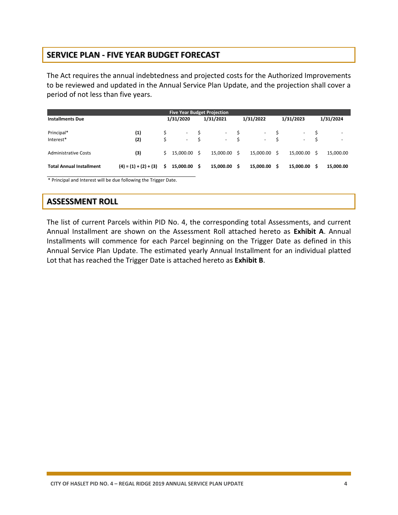# **SERVICE PLAN - FIVE YEAR BUDGET FORECAST**

The Act requires the annual indebtedness and projected costs for the Authorized Improvements to be reviewed and updated in the Annual Service Plan Update, and the projection shall cover a period of not less than five years.

| <b>Five Year Budget Projection</b> |                         |           |                          |           |           |           |                          |           |                          |           |                          |
|------------------------------------|-------------------------|-----------|--------------------------|-----------|-----------|-----------|--------------------------|-----------|--------------------------|-----------|--------------------------|
| <b>Installments Due</b>            |                         | 1/31/2020 |                          | 1/31/2021 |           | 1/31/2022 |                          | 1/31/2023 |                          | 1/31/2024 |                          |
| Principal*                         | (1)                     |           | $\overline{\phantom{a}}$ |           | $\sim$    |           | $\overline{\phantom{a}}$ |           | ۰                        | Ŝ         | $\overline{\phantom{a}}$ |
| Interest*                          | (2)                     | Ś         | $\overline{\phantom{a}}$ | Ŝ         | $\sim$    | Ś         | $\sim 100$               |           | $\overline{\phantom{a}}$ | Ŝ         | $\overline{\phantom{a}}$ |
| <b>Administrative Costs</b>        | (3)                     | S.        | 15.000.00                | -S        | 15.000.00 | Ŝ.        | 15.000.00 \$             |           | 15,000.00                | S.        | 15,000.00                |
| <b>Total Annual Installment</b>    | $(4) = (1) + (2) + (3)$ | \$        | 15,000.00                | - S       | 15,000.00 | Ŝ.        | 15,000.00                | - \$      | 15,000.00                | Ŝ         | 15,000.00                |

\* Principal and Interest will be due following the Trigger Date.

# **ASSESSMENT ROLL**

The list of current Parcels within PID No. 4, the corresponding total Assessments, and current Annual Installment are shown on the Assessment Roll attached hereto as **Exhibit A**. Annual Installments will commence for each Parcel beginning on the Trigger Date as defined in this Annual Service Plan Update. The estimated yearly Annual Installment for an individual platted Lot that has reached the Trigger Date is attached hereto as **Exhibit B**.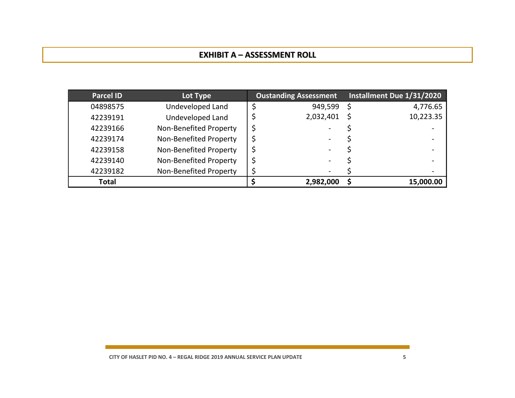# **EXHIBIT A – ASSESSMENT ROLL**

| <b>Parcel ID</b> | Lot Type               | <b>Oustanding Assessment</b> | Installment Due 1/31/2020 |
|------------------|------------------------|------------------------------|---------------------------|
| 04898575         | Undeveloped Land       | 949,599                      | 4,776.65                  |
| 42239191         | Undeveloped Land       | 2,032,401                    | 10,223.35                 |
| 42239166         | Non-Benefited Property |                              |                           |
| 42239174         | Non-Benefited Property |                              |                           |
| 42239158         | Non-Benefited Property |                              |                           |
| 42239140         | Non-Benefited Property |                              |                           |
| 42239182         | Non-Benefited Property |                              |                           |
| <b>Total</b>     |                        | 2,982,000                    | 15,000.00                 |